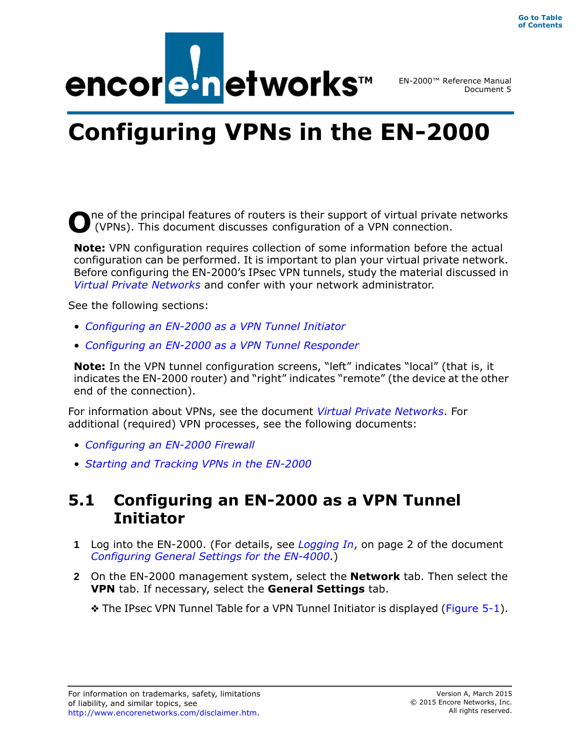

EN-2000™ Reference Manual Document 5

## **Configuring VPNs in the EN-2000**

ne of the principal features of routers is their support of virtual private networks (VPNs). This document discusses configuration of a VPN connection. **O**

**Note:** VPN configuration requires collection of some information before the actual configuration can be performed. It is important to plan your virtual private network. Before configuring the EN-2000's IPsec VPN tunnels, study the material discussed in *Virtual Private Networks* and confer with your network administrator.

See the following sections:

- *Configuring an EN-2000 as a VPN Tunnel Initiator*
- *Configuring an EN-2000 as a VPN Tunnel Responder*

**Note:** In the VPN tunnel configuration screens, "left" indicates "local" (that is, it indicates the EN-2000 router) and "right" indicates "remote" (the device at the other end of the connection).

For information about VPNs, see the document *Virtual Private Networks*. For additional (required) VPN processes, see the following documents:

- *Configuring an EN-2000 Firewall*
- *Starting and Tracking VPNs in the EN-2000*

## **5.1 Configuring an EN-2000 as a VPN Tunnel Initiator**

- **1** Log into the EN-2000. (For details, see *Logging In*, on page 2 of the document *Configuring General Settings for the EN-4000*.)
- **2** On the EN-2000 management system, select the **Network** tab. Then select the **VPN** tab. If necessary, select the **General Settings** tab.
	- ❖ The IPsec VPN Tunnel Table for a VPN Tunnel Initiator is displayed (Figure 5-1).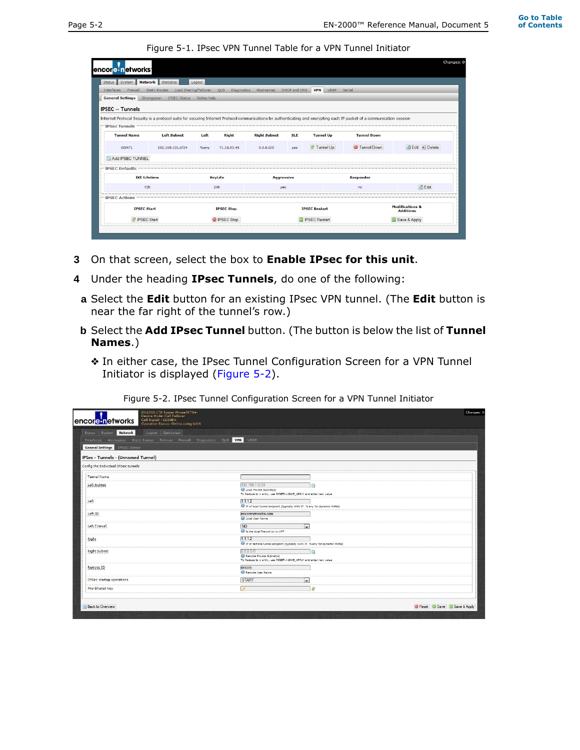Figure 5-1. IPsec VPN Tunnel Table for a VPN Tunnel Initiator

| Status System           | Network Statistics                            | Logout |                           |                     |              |                        |                                                                                                                                                                         |                                                |
|-------------------------|-----------------------------------------------|--------|---------------------------|---------------------|--------------|------------------------|-------------------------------------------------------------------------------------------------------------------------------------------------------------------------|------------------------------------------------|
| Interfaces<br>Firewall  | Load Sharing/Failover<br><b>Static Routes</b> |        | OoS<br><b>Diagnostics</b> | Hostnames           | DHCP and DNS | <b>VPN</b><br>VRRP     | Serial                                                                                                                                                                  |                                                |
| <b>General Settings</b> | Strongswan IPSEC Status Online Help           |        |                           |                     |              |                        |                                                                                                                                                                         |                                                |
|                         |                                               |        |                           |                     |              |                        |                                                                                                                                                                         |                                                |
| <b>IPSEC -- Tunnels</b> |                                               |        |                           |                     |              |                        |                                                                                                                                                                         |                                                |
|                         |                                               |        |                           |                     |              |                        | Internet Protocol Security is a protocol suite for securing Internet Protocol communications by authenticating and encrypting each IP packet of a communication session |                                                |
| <b>IPSec Tunnels</b>    |                                               |        |                           |                     |              |                        |                                                                                                                                                                         |                                                |
| <b>Tunnel Name</b>      | <b>Left Subnet</b>                            | Left   | <b>Right</b>              | <b>Right Subnet</b> | <b>SLE</b>   | <b>Tunnel Up</b>       | <b>Tunnel Down</b>                                                                                                                                                      |                                                |
|                         |                                               |        |                           |                     |              |                        |                                                                                                                                                                         |                                                |
| OSAT1                   | 192.168.101.0/24                              | %any   | 71.16.53.45               | 0.0.0.0/0           | yes          | <b>&amp; Tunnel Up</b> | Tunnel Down                                                                                                                                                             | Edit X Delete                                  |
| * Add IPSEC TUNNEL      |                                               |        |                           |                     |              |                        |                                                                                                                                                                         |                                                |
| <b>IPSEC Defaults</b>   |                                               |        |                           |                     |              |                        |                                                                                                                                                                         |                                                |
| <b>IKE Lifetime</b>     |                                               |        | <b>KeyLife</b>            | <b>Aggressive</b>   |              |                        | <b>Responder</b>                                                                                                                                                        |                                                |
| 72h                     |                                               | 24h    |                           | yes                 |              |                        | no                                                                                                                                                                      | $\triangle$ Edit                               |
| <b>IPSEC Actions</b>    |                                               |        |                           |                     |              |                        |                                                                                                                                                                         |                                                |
| <b>IPSEC Start</b>      |                                               |        | <b>IPSEC Stop</b>         |                     |              | <b>IPSEC Restart</b>   |                                                                                                                                                                         | <b>Modifications &amp;</b><br><b>Additions</b> |
|                         | PSEC Start                                    |        | <b>O</b> IPSEC Stop       |                     |              | <b>PSEC Restart</b>    |                                                                                                                                                                         | Save & Apply                                   |

- **3** On that screen, select the box to **Enable IPsec for this unit**.
- **4** Under the heading **IPsec Tunnels**, do one of the following:
- **a** Select the **Edit** button for an existing IPsec VPN tunnel. (The **Edit** button is near the far right of the tunnel's row.)
- **b** Select the **Add IPsec Tunnel** button. (The button is below the list of **Tunnel Names**.)
	- ❖ In either case, the IPsec Tunnel Configuration Screen for a VPN Tunnel Initiator is displayed (Figure 5-2).

| Cell Signal: - 125dBm<br>encore in etworks<br>Operation Status: Online using WAN |                                                                                                              |                                           |
|----------------------------------------------------------------------------------|--------------------------------------------------------------------------------------------------------------|-------------------------------------------|
| Logout Quickstart<br>Status   System   Network                                   |                                                                                                              |                                           |
| Interfaces Hostnames Static Routes Fallover Firewall Diagnostics OoS VPN         | VRRP                                                                                                         |                                           |
| <b>General Settings IPSEC Status</b>                                             |                                                                                                              |                                           |
| IPSec - Tunnels - (Unnamed Tunnel)                                               |                                                                                                              |                                           |
| Config the Individual IPSec tunnels                                              |                                                                                                              |                                           |
| <b>Tunnel Name</b>                                                               |                                                                                                              |                                           |
| Left Subnet                                                                      | 192.168.1.0/24<br>Local Private Subnet(s)<br>To Reduce to 1 entry, use RESET->SAVE_APPLY and enter new value |                                           |
| Left                                                                             | 1.1.1.2<br>IP of local tunnel endpoint (typically WAN IP. % any for dynamic WANs)                            |                                           |
| Left ID                                                                          | encorenetworks.com<br><b>Cal Local User Name</b>                                                             |                                           |
| Left Firewall                                                                    | <b>NO</b><br>$\overline{\phantom{a}}$<br>Is the local firewall on or off?                                    |                                           |
| Right                                                                            | 1.1.1.2<br>IP of remote tunnel endpoint (typically WAN IP. % any for dynamic WANs)                           |                                           |
| <b>Right Subnet</b>                                                              | 0.0.0.0/0<br>Remote Private Subnet(s)<br>To Reduce to 1 entry, use RESET->SAVE_APPLY and enter new value     |                                           |
| Remote ID                                                                        | encore<br>Remote User Name                                                                                   |                                           |
| IPSec startup operations                                                         | START<br>$\blacksquare$                                                                                      |                                           |
| Pre-Shared Key                                                                   | â.                                                                                                           |                                           |
| <b>Back to Overview</b>                                                          |                                                                                                              | <b>B</b> Reset Save <b>B</b> Save & Apply |

Figure 5-2. IPsec Tunnel Configuration Screen for a VPN Tunnel Initiator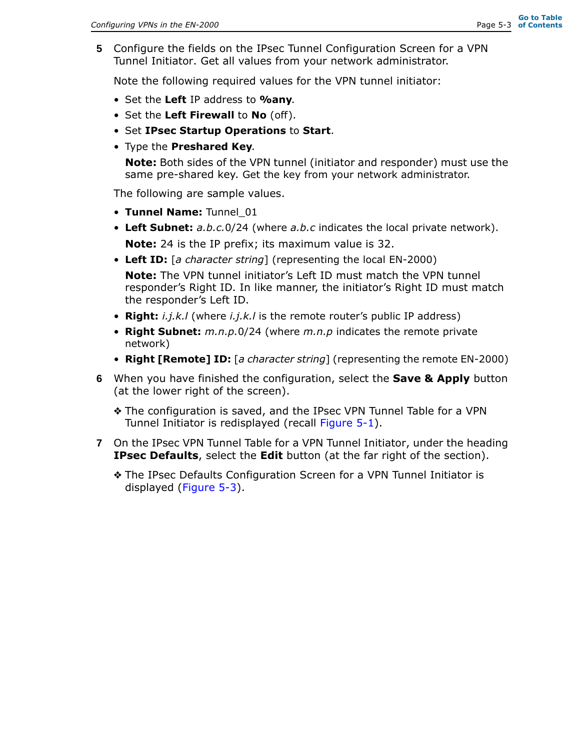**5** Configure the fields on the IPsec Tunnel Configuration Screen for a VPN Tunnel Initiator. Get all values from your network administrator.

Note the following required values for the VPN tunnel initiator:

- Set the **Left** IP address to **%any**.
- Set the **Left Firewall** to **No** (off).
- Set **IPsec Startup Operations** to **Start**.
- Type the **Preshared Key**.

**Note:** Both sides of the VPN tunnel (initiator and responder) must use the same pre-shared key. Get the key from your network administrator.

The following are sample values.

- **Tunnel Name:** Tunnel\_01
- **Left Subnet:** *a.b.c.*0/24 (where *a.b.c* indicates the local private network). **Note:** 24 is the IP prefix; its maximum value is 32.
- **Left ID:** [*a character string*] (representing the local EN-2000) **Note:** The VPN tunnel initiator's Left ID must match the VPN tunnel responder's Right ID. In like manner, the initiator's Right ID must match the responder's Left ID.
- **Right:** *i.j.k.l* (where *i.j.k.l* is the remote router's public IP address)
- **Right Subnet:** *m.n.p.*0/24 (where *m.n.p* indicates the remote private network)
- **Right [Remote] ID:** [*a character string*] (representing the remote EN-2000)
- **6** When you have finished the configuration, select the **Save & Apply** button (at the lower right of the screen).
	- ❖ The configuration is saved, and the IPsec VPN Tunnel Table for a VPN Tunnel Initiator is redisplayed (recall Figure 5-1).
- **7** On the IPsec VPN Tunnel Table for a VPN Tunnel Initiator, under the heading **IPsec Defaults**, select the **Edit** button (at the far right of the section).
	- ❖ The IPsec Defaults Configuration Screen for a VPN Tunnel Initiator is displayed (Figure 5-3).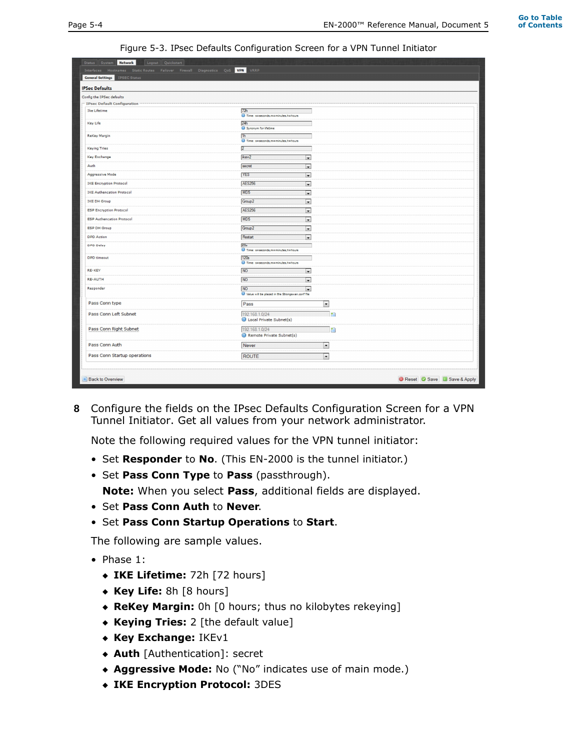| <b>Go to Table</b> |  |
|--------------------|--|
| of Contents        |  |

| Logout   Quickstart<br>Status   System   Network                                                             |                                                               |                          |  |
|--------------------------------------------------------------------------------------------------------------|---------------------------------------------------------------|--------------------------|--|
| Interfaces Hostnames Static-Routes Failover Firewall Diagnostics QoS<br><b>General Settings IPSEC Status</b> | VPN<br>VRRP                                                   |                          |  |
|                                                                                                              |                                                               |                          |  |
| <b>IPSec Defaults</b>                                                                                        |                                                               |                          |  |
| Config the IPSec defaults<br><b>IPsec Default Configuration</b>                                              |                                                               |                          |  |
| <b>Ike Lifetime</b>                                                                                          | 72h                                                           |                          |  |
|                                                                                                              | Time: s=seconds,m=minutes,h=hours                             |                          |  |
| Key Life                                                                                                     | 24h<br>Synonym for lifetime                                   |                          |  |
| <b>ReKey Margin</b>                                                                                          | 1 <sub>h</sub><br>Time: s=seconds,m=minutes,h=hours           |                          |  |
| <b>Keying Tries</b>                                                                                          | $\overline{2}$                                                |                          |  |
| <b>Key Exchange</b>                                                                                          | ikev <sub>2</sub>                                             | $\overline{\phantom{a}}$ |  |
| Auth                                                                                                         | secret                                                        | $\overline{ }$           |  |
| Aggressive Mode                                                                                              | <b>YES</b>                                                    | $\overline{\phantom{a}}$ |  |
| <b>IKE Encryption Protocol</b>                                                                               | <b>AES256</b>                                                 | $\overline{\phantom{a}}$ |  |
| <b>IKE Authencation Protocol</b>                                                                             | MD <sub>5</sub>                                               | $\blacksquare$           |  |
| <b>IKE DH Group</b>                                                                                          | Group <sub>2</sub>                                            | $\blacksquare$           |  |
| <b>ESP Encryption Protocol</b>                                                                               | <b>AES256</b>                                                 | $\blacksquare$           |  |
| <b>ESP Authencation Protocol</b>                                                                             | MD5                                                           | $\bullet$                |  |
| <b>ESP DH Group</b>                                                                                          | Group <sub>2</sub>                                            | $\overline{\phantom{0}}$ |  |
| <b>DPD</b> Action                                                                                            | Restart                                                       | $\overline{\phantom{a}}$ |  |
| <b>DPD Delay</b>                                                                                             | 20s                                                           |                          |  |
|                                                                                                              | Time: s=seconds,m=minutes,h=hours                             |                          |  |
| <b>DPD</b> timeout                                                                                           | 120s<br>Time: s=seconds,m=minutes,h=hours                     |                          |  |
| RE-KEY                                                                                                       | <b>NO</b>                                                     | $\blacksquare$           |  |
| <b>RE-AUTH</b>                                                                                               | <b>NO</b>                                                     | $\overline{\phantom{a}}$ |  |
| Responder                                                                                                    | <b>NO</b><br>Value will be placed in the Strongswan.conf file | $\overline{\phantom{a}}$ |  |
| Pass Conn type                                                                                               | Pass                                                          | ▾                        |  |
| Pass Conn Left Subnet                                                                                        | 192.168.1.0/24<br>Local Private Subnet(s)                     | n                        |  |
| Pass Conn Right Subnet                                                                                       | 192.168.1.0/24<br>Remote Private Subnet(s)                    | $\overline{\phantom{a}}$ |  |
| Pass Conn Auth                                                                                               | Never                                                         | $\overline{\phantom{a}}$ |  |
| Pass Conn Startup operations                                                                                 | <b>ROUTE</b>                                                  | $\blacksquare$           |  |
| <b>Back to Overview</b>                                                                                      |                                                               | Reset Save Bave & Apply  |  |

Figure 5-3. IPsec Defaults Configuration Screen for a VPN Tunnel Initiator

**8** Configure the fields on the IPsec Defaults Configuration Screen for a VPN Tunnel Initiator. Get all values from your network administrator.

Note the following required values for the VPN tunnel initiator:

- Set **Responder** to **No**. (This EN-2000 is the tunnel initiator.)
- Set **Pass Conn Type** to **Pass** (passthrough).

**Note:** When you select **Pass**, additional fields are displayed.

- Set **Pass Conn Auth** to **Never**.
- Set **Pass Conn Startup Operations** to **Start**.

The following are sample values.

- Phase 1:
	- ◆ **IKE Lifetime:** 72h [72 hours]
	- ◆ **Key Life:** 8h [8 hours]
	- ◆ **ReKey Margin:** 0h [0 hours; thus no kilobytes rekeying]
	- ◆ **Keying Tries:** 2 [the default value]
	- ◆ **Key Exchange:** IKEv1
	- ◆ **Auth** [Authentication]: secret
	- ◆ **Aggressive Mode:** No ("No" indicates use of main mode.)
	- ◆ **IKE Encryption Protocol:** 3DES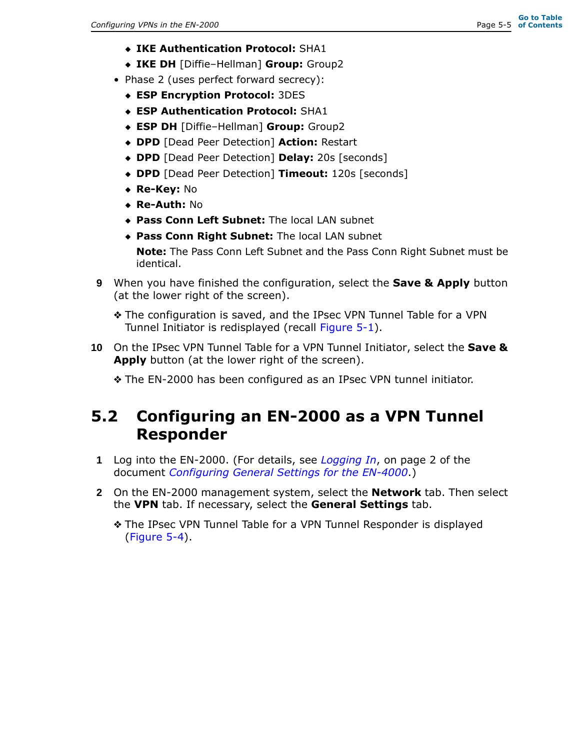- ◆ **IKE Authentication Protocol:** SHA1
- ◆ **IKE DH** [Diffie–Hellman] **Group:** Group2
- Phase 2 (uses perfect forward secrecy):
	- ◆ **ESP Encryption Protocol:** 3DES
	- ◆ **ESP Authentication Protocol:** SHA1
	- ◆ **ESP DH** [Diffie–Hellman] **Group:** Group2
	- ◆ **DPD** [Dead Peer Detection] **Action:** Restart
	- ◆ **DPD** [Dead Peer Detection] **Delay:** 20s [seconds]
	- ◆ **DPD** [Dead Peer Detection] **Timeout:** 120s [seconds]
	- ◆ **Re-Key:** No
	- ◆ **Re-Auth:** No
	- ◆ **Pass Conn Left Subnet:** The local LAN subnet
	- ◆ **Pass Conn Right Subnet:** The local LAN subnet

**Note:** The Pass Conn Left Subnet and the Pass Conn Right Subnet must be identical.

- **9** When you have finished the configuration, select the **Save & Apply** button (at the lower right of the screen).
	- ❖ The configuration is saved, and the IPsec VPN Tunnel Table for a VPN Tunnel Initiator is redisplayed (recall Figure 5-1).
- **10** On the IPsec VPN Tunnel Table for a VPN Tunnel Initiator, select the **Save & Apply** button (at the lower right of the screen).

❖ The EN-2000 has been configured as an IPsec VPN tunnel initiator.

## **5.2 Configuring an EN-2000 as a VPN Tunnel Responder**

- **1** Log into the EN-2000. (For details, see *Logging In*, on page 2 of the document *Configuring General Settings for the EN-4000*.)
- **2** On the EN-2000 management system, select the **Network** tab. Then select the **VPN** tab. If necessary, select the **General Settings** tab.
	- ❖ The IPsec VPN Tunnel Table for a VPN Tunnel Responder is displayed (Figure 5-4).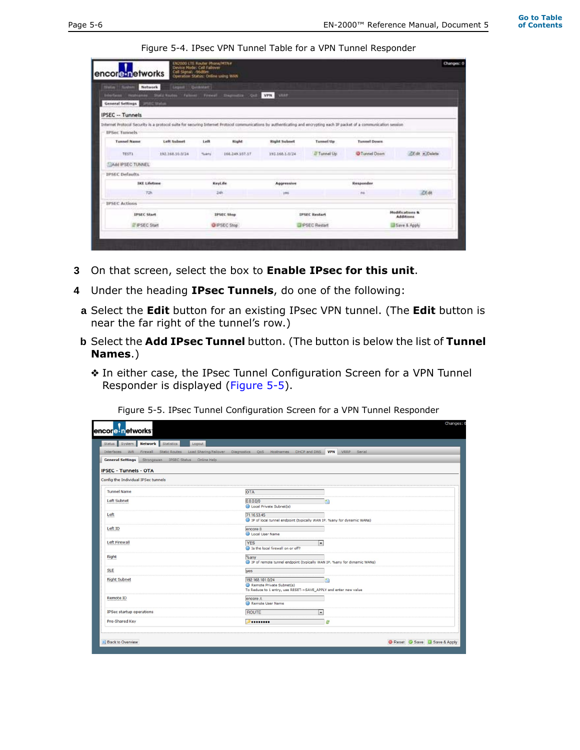Figure 5-4. IPsec VPN Tunnel Table for a VPN Tunnel Responder

|                                                                                                                        | encore inetworks |                   | Device Node: Cell Fallwer<br>Cell Signal: -Nodern<br>Operation Status: Online uning WAN |                      |                         |                                                                                                                                                                         |                       |
|------------------------------------------------------------------------------------------------------------------------|------------------|-------------------|-----------------------------------------------------------------------------------------|----------------------|-------------------------|-------------------------------------------------------------------------------------------------------------------------------------------------------------------------|-----------------------|
| Status   System<br>Network                                                                                             | Legan Dumbler    |                   |                                                                                         |                      |                         |                                                                                                                                                                         |                       |
| Interfaces Hightenes Static Factor Fallent: Frewall Disgreetie Cult VPN VIAP<br>General Settings <b>Bank Highlight</b> |                  |                   |                                                                                         |                      |                         |                                                                                                                                                                         |                       |
|                                                                                                                        |                  |                   |                                                                                         |                      |                         |                                                                                                                                                                         |                       |
| <b>IPSEC -- Tunnels</b>                                                                                                |                  |                   |                                                                                         |                      |                         |                                                                                                                                                                         |                       |
| <b>IPSec Tunnels</b>                                                                                                   |                  |                   |                                                                                         |                      |                         | Internet Protocol Security is a protocol suite for securing Internet Protocol communications by authenticating and encrypting each IP packet of a communication session |                       |
| <b>Tunnel Name</b>                                                                                                     | Left Subnet      | Left              | Right                                                                                   | <b>Right Subnet</b>  | Tarsmel Up              | <b>Tunnel Down</b>                                                                                                                                                      |                       |
| TESTI                                                                                                                  | 192.168.10.0/24  | Netta             | 108.249.107.17                                                                          | 193.168.1.0/24       | <sup>27</sup> Tunnel Up | <b>O</b> Tunnel Doam                                                                                                                                                    | <b>ZEdit KJDelete</b> |
| <b>BAN IPSEC TUNNEL</b>                                                                                                |                  |                   |                                                                                         |                      |                         |                                                                                                                                                                         |                       |
| IPSEC Defaults                                                                                                         |                  |                   |                                                                                         |                      |                         |                                                                                                                                                                         |                       |
| <b>IKE Lifetime</b>                                                                                                    |                  |                   | <b>KeyLife</b>                                                                          | <b>Aggressive</b>    |                         | Responder                                                                                                                                                               |                       |
| 72h                                                                                                                    |                  |                   | 146                                                                                     | yes.                 |                         | m                                                                                                                                                                       | ZEdt                  |
| <b>IPSEC Actions</b>                                                                                                   |                  |                   |                                                                                         |                      |                         |                                                                                                                                                                         |                       |
| <b>IPSEC Start</b>                                                                                                     |                  | <b>IPSEC Stop</b> |                                                                                         | <b>IPSEC Restart</b> |                         | <b>Modifications &amp;</b><br><b>Additions</b>                                                                                                                          |                       |
| IPSEC Start                                                                                                            |                  | @ IPSEC Stop      |                                                                                         | <b>UPSEC Restart</b> |                         | Save & Apply                                                                                                                                                            |                       |

- **3** On that screen, select the box to **Enable IPsec for this unit**.
- **4** Under the heading **IPsec Tunnels**, do one of the following:
- **a** Select the **Edit** button for an existing IPsec VPN tunnel. (The **Edit** button is near the far right of the tunnel's row.)
- **b** Select the **Add IPsec Tunnel** button. (The button is below the list of **Tunnel Names**.)
	- ❖ In either case, the IPsec Tunnel Configuration Screen for a VPN Tunnel Responder is displayed (Figure 5-5).

Figure 5-5. IPsec Tunnel Configuration Screen for a VPN Tunnel Responder

| <b>Network</b> Statistics<br>Status<br>System<br>Logout        |                                                                                                               |
|----------------------------------------------------------------|---------------------------------------------------------------------------------------------------------------|
| Interfaces<br>Wifi<br>Firewall                                 | Static Routes Load Sharing/Failover Diagnostics<br>QoS Hostnames DHCP and DNS<br><b>VPN</b><br>VRRP<br>Serial |
| <b>General Settings</b><br>Strongswan IPSEC Status Online Help |                                                                                                               |
| <b>IPSEC - Tunnels - OTA</b>                                   |                                                                                                               |
| Config the Individual IPSec tunnels                            |                                                                                                               |
|                                                                |                                                                                                               |
| <b>Tunnel Name</b>                                             | <b>OTA</b>                                                                                                    |
| Left Subnet                                                    | 0.0.0.0/0                                                                                                     |
|                                                                | Local Private Subnet(s)                                                                                       |
| Left                                                           | 71.16.53.45                                                                                                   |
|                                                                | IP of local tunnel endpoint (typically WAN IP. %any for dynamic WANs)                                         |
| Left ID                                                        | encore B                                                                                                      |
|                                                                | Local User Name                                                                                               |
| Left Firewall                                                  | <b>YES</b><br>$\overline{\phantom{a}}$<br>is the local firewall on or off?                                    |
|                                                                |                                                                                                               |
| Right                                                          | %anv<br>IP of remote tunnel endpoint (typically WAN IP. %any for dynamic WANs)                                |
| <b>SLE</b>                                                     | yes                                                                                                           |
|                                                                |                                                                                                               |
| <b>Right Subnet</b>                                            | 192.168.101.0/24<br>Remote Private Subnet(s)                                                                  |
|                                                                | To Reduce to 1 entry, use RESET->SAVE_APPLY and enter new value                                               |
| Remote ID                                                      | encore A                                                                                                      |
|                                                                | Remote User Name                                                                                              |
| IPSec startup operations                                       | <b>ROUTE</b><br>$\overline{\phantom{a}}$                                                                      |
| Pre-Shared Key                                                 | 윊<br>                                                                                                         |
|                                                                |                                                                                                               |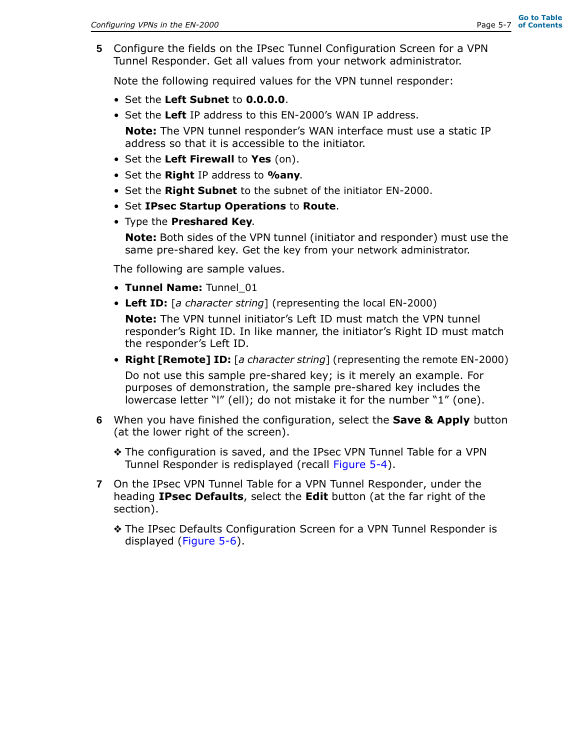**5** Configure the fields on the IPsec Tunnel Configuration Screen for a VPN Tunnel Responder. Get all values from your network administrator.

Note the following required values for the VPN tunnel responder:

- Set the **Left Subnet** to **0.0.0.0**.
- Set the **Left** IP address to this EN-2000's WAN IP address.

**Note:** The VPN tunnel responder's WAN interface must use a static IP address so that it is accessible to the initiator.

- Set the **Left Firewall** to **Yes** (on).
- Set the **Right** IP address to **%any**.
- Set the **Right Subnet** to the subnet of the initiator EN-2000.
- Set **IPsec Startup Operations** to **Route**.
- Type the **Preshared Key**.

**Note:** Both sides of the VPN tunnel (initiator and responder) must use the same pre-shared key. Get the key from your network administrator.

The following are sample values.

- **Tunnel Name:** Tunnel\_01
- **Left ID:** [*a character string*] (representing the local EN-2000)

**Note:** The VPN tunnel initiator's Left ID must match the VPN tunnel responder's Right ID. In like manner, the initiator's Right ID must match the responder's Left ID.

• **Right [Remote] ID:** [*a character string*] (representing the remote EN-2000)

Do not use this sample pre-shared key; is it merely an example. For purposes of demonstration, the sample pre-shared key includes the lowercase letter "l" (ell); do not mistake it for the number "1" (one).

**6** When you have finished the configuration, select the **Save & Apply** button (at the lower right of the screen).

❖ The configuration is saved, and the IPsec VPN Tunnel Table for a VPN Tunnel Responder is redisplayed (recall Figure 5-4).

- **7** On the IPsec VPN Tunnel Table for a VPN Tunnel Responder, under the heading **IPsec Defaults**, select the **Edit** button (at the far right of the section).
	- ❖ The IPsec Defaults Configuration Screen for a VPN Tunnel Responder is displayed (Figure 5-6).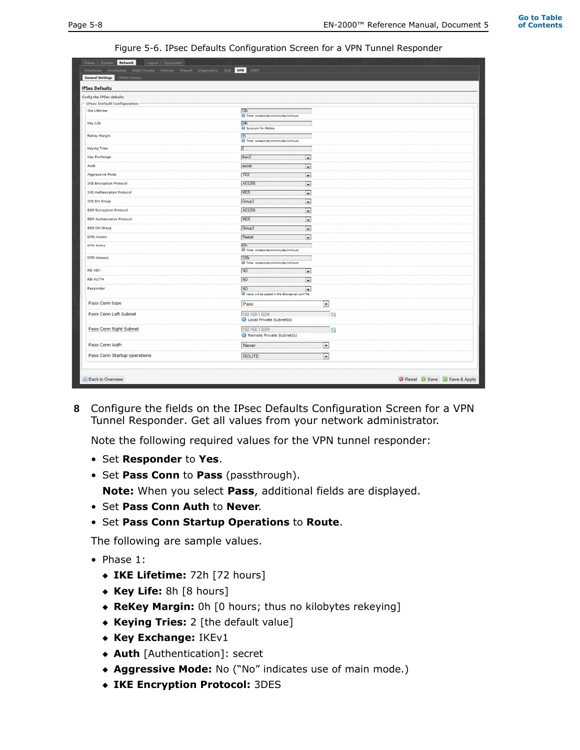| <b>IPSec Defaults</b><br>Config the IPSec defaults |                                                                    |                          |  |
|----------------------------------------------------|--------------------------------------------------------------------|--------------------------|--|
| <b>IPsec Default Configuration</b>                 |                                                                    |                          |  |
| <b>Ike Lifetime</b>                                | 72h<br>Time: s=seconds,m=minutes,h=hours                           |                          |  |
| Key Life                                           | 24h<br>Synonym for lifetime                                        |                          |  |
| <b>ReKey Margin</b>                                | 1 <sub>h</sub><br>Time: s=seconds,m=minutes,h=hours                |                          |  |
| <b>Keying Tries</b>                                | $\overline{2}$                                                     |                          |  |
| Key Exchange                                       | ikev <sub>2</sub>                                                  | $\overline{\phantom{a}}$ |  |
| Auth                                               | secret                                                             | $\overline{\phantom{a}}$ |  |
| Aggressive Mode                                    | <b>YES</b>                                                         | $\overline{\phantom{a}}$ |  |
| <b>IKE Encryption Protocol</b>                     | <b>AES256</b>                                                      | $\overline{\phantom{a}}$ |  |
| <b>IKE Authencation Protocol</b>                   | MD <sub>5</sub>                                                    | $\blacksquare$           |  |
| <b>IKE DH Group</b>                                | Group <sub>2</sub>                                                 | $\overline{\phantom{0}}$ |  |
| <b>ESP Encryption Protocol</b>                     | <b>AES256</b>                                                      | $\overline{ }$           |  |
| <b>ESP Authencation Protocol</b>                   | MD <sub>5</sub>                                                    | $\blacksquare$           |  |
| <b>ESP DH Group</b>                                | Group <sub>2</sub>                                                 | $\blacksquare$           |  |
| <b>DPD</b> Action                                  | Restart                                                            | $\overline{\phantom{0}}$ |  |
| <b>DPD Delay</b>                                   | 20s<br>Time: s=seconds,m=minutes,h=hours                           |                          |  |
| <b>DPD</b> timeout                                 | 120s<br>Time: s=seconds,m=minutes,h=hours                          |                          |  |
| RE-KEY                                             | N <sub>O</sub>                                                     | $\overline{\phantom{0}}$ |  |
| <b>RE-AUTH</b>                                     | <b>NO</b>                                                          | $\overline{\phantom{0}}$ |  |
| Responder                                          | N <sub>O</sub><br>Value will be placed in the Strongswan.conf file | $\overline{\phantom{0}}$ |  |
| Pass Conn type                                     | Pass                                                               | $\vert \mathbf{r} \vert$ |  |
| Pass Conn Left Subnet                              | 192.168.1.0/24<br>Local Private Subnet(s)                          | ħ                        |  |
| Pass Conn Right Subnet                             | 192.168.1.0/24<br>Remote Private Subnet(s)                         | ħ                        |  |
| Pass Conn Auth                                     | Never                                                              | $\vert$ $\vert$          |  |
| Pass Conn Startup operations                       | <b>ROUTE</b>                                                       | ◾                        |  |

Figure 5-6. IPsec Defaults Configuration Screen for a VPN Tunnel Responder

**8** Configure the fields on the IPsec Defaults Configuration Screen for a VPN Tunnel Responder. Get all values from your network administrator.

Note the following required values for the VPN tunnel responder:

- Set **Responder** to **Yes**.
- Set **Pass Conn** to **Pass** (passthrough).

**Note:** When you select **Pass**, additional fields are displayed.

- Set **Pass Conn Auth** to **Never**.
- Set **Pass Conn Startup Operations** to **Route**.

The following are sample values.

- Phase 1:
	- ◆ **IKE Lifetime:** 72h [72 hours]
	- ◆ **Key Life:** 8h [8 hours]
	- ◆ **ReKey Margin:** 0h [0 hours; thus no kilobytes rekeying]
	- ◆ **Keying Tries:** 2 [the default value]
	- ◆ **Key Exchange:** IKEv1
	- ◆ **Auth** [Authentication]: secret
	- ◆ **Aggressive Mode:** No ("No" indicates use of main mode.)
	- ◆ **IKE Encryption Protocol:** 3DES